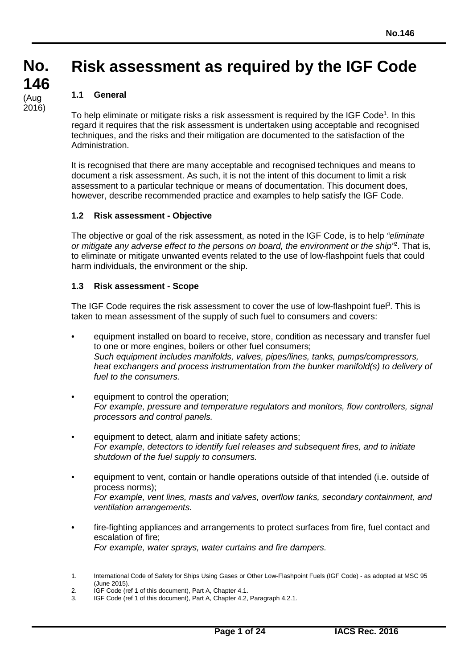# **Risk assessment as required by the IGF Code**

## **1.1 General**

**No. No.**

**146 146**

(Aug<br>2016)

(Aug

To help eliminate or mitigate risks a risk assessment is required by the IGF Code<sup>1</sup>. In this regard it requires that the risk assessment is undertaken using acceptable and recognised techniques, and the risks and their mitigation are documented to the satisfaction of the Administration.

It is recognised that there are many acceptable and recognised techniques and means to document a risk assessment. As such, it is not the intent of this document to limit a risk assessment to a particular technique or means of documentation. This document does, however, describe recommended practice and examples to help satisfy the IGF Code.

### **1.2 Risk assessment - Objective**

The objective or goal of the risk assessment, as noted in the IGF Code, is to help *"eliminate or mitigate any adverse effect to the persons on board, the environment or the ship"*<sup>2</sup> . That is, to eliminate or mitigate unwanted events related to the use of low-flashpoint fuels that could harm individuals, the environment or the ship.

### **1.3 Risk assessment - Scope**

The IGF Code requires the risk assessment to cover the use of low-flashpoint fuel<sup>3</sup>. This is taken to mean assessment of the supply of such fuel to consumers and covers:

- equipment installed on board to receive, store, condition as necessary and transfer fuel to one or more engines, boilers or other fuel consumers; *Such equipment includes manifolds, valves, pipes/lines, tanks, pumps/compressors, heat exchangers and process instrumentation from the bunker manifold(s) to delivery of fuel to the consumers.*
- equipment to control the operation; *For example, pressure and temperature regulators and monitors, flow controllers, signal processors and control panels.*
- equipment to detect, alarm and initiate safety actions; *For example, detectors to identify fuel releases and subsequent fires, and to initiate shutdown of the fuel supply to consumers.*
- equipment to vent, contain or handle operations outside of that intended (i.e. outside of process norms); *For example, vent lines, masts and valves, overflow tanks, secondary containment, and ventilation arrangements.*
- fire-fighting appliances and arrangements to protect surfaces from fire, fuel contact and escalation of fire; *For example, water sprays, water curtains and fire dampers.*

<sup>1.</sup> International Code of Safety for Ships Using Gases or Other Low-Flashpoint Fuels (IGF Code) - as adopted at MSC 95 (June 2015).

<sup>2.</sup> **IGF Code (ref 1 of this document), Part A, Chapter 4.1.**<br>3. **IGF Code (ref 1 of this document), Part A, Chapter 4.2.** 

IGF Code (ref 1 of this document), Part A, Chapter 4.2, Paragraph 4.2.1.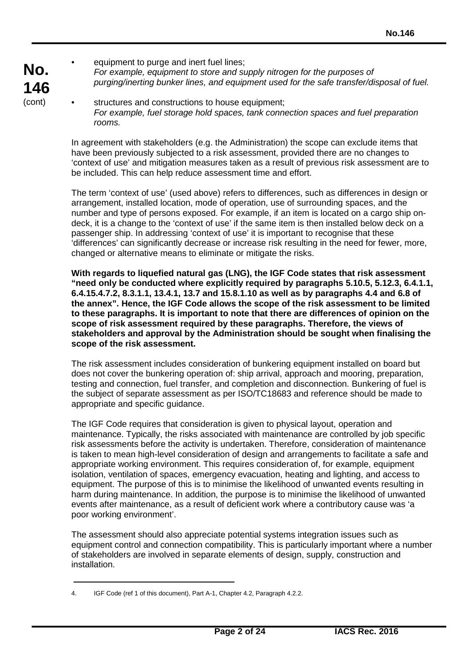- equipment to purge and inert fuel lines; *For example, equipment to store and supply nitrogen for the purposes of purging/inerting bunker lines, and equipment used for the safe transfer/disposal of fuel.*
- structures and constructions to house equipment: *For example, fuel storage hold spaces, tank connection spaces and fuel preparation rooms.*

In agreement with stakeholders (e.g. the Administration) the scope can exclude items that have been previously subjected to a risk assessment, provided there are no changes to 'context of use' and mitigation measures taken as a result of previous risk assessment are to be included. This can help reduce assessment time and effort.

The term 'context of use' (used above) refers to differences, such as differences in design or arrangement, installed location, mode of operation, use of surrounding spaces, and the number and type of persons exposed. For example, if an item is located on a cargo ship ondeck, it is a change to the 'context of use' if the same item is then installed below deck on a passenger ship. In addressing 'context of use' it is important to recognise that these 'differences' can significantly decrease or increase risk resulting in the need for fewer, more, changed or alternative means to eliminate or mitigate the risks.

**With regards to liquefied natural gas (LNG), the IGF Code states that risk assessment "need only be conducted where explicitly required by paragraphs 5.10.5, 5.12.3, 6.4.1.1, 6.4.15.4.7.2, 8.3.1.1, 13.4.1, 13.7 and 15.8.1.10 as well as by paragraphs 4.4 and 6.8 of the annex". Hence, the IGF Code allows the scope of the risk assessment to be limited to these paragraphs. It is important to note that there are differences of opinion on the scope of risk assessment required by these paragraphs. Therefore, the views of stakeholders and approval by the Administration should be sought when finalising the scope of the risk assessment.**

The risk assessment includes consideration of bunkering equipment installed on board but does not cover the bunkering operation of: ship arrival, approach and mooring, preparation, testing and connection, fuel transfer, and completion and disconnection. Bunkering of fuel is the subject of separate assessment as per ISO/TC18683 and reference should be made to appropriate and specific guidance.

The IGF Code requires that consideration is given to physical layout, operation and maintenance. Typically, the risks associated with maintenance are controlled by job specific risk assessments before the activity is undertaken. Therefore, consideration of maintenance is taken to mean high-level consideration of design and arrangements to facilitate a safe and appropriate working environment. This requires consideration of, for example, equipment isolation, ventilation of spaces, emergency evacuation, heating and lighting, and access to equipment. The purpose of this is to minimise the likelihood of unwanted events resulting in harm during maintenance. In addition, the purpose is to minimise the likelihood of unwanted events after maintenance, as a result of deficient work where a contributory cause was 'a poor working environment'.

The assessment should also appreciate potential systems integration issues such as equipment control and connection compatibility. This is particularly important where a number of stakeholders are involved in separate elements of design, supply, construction and installation.

<sup>4.</sup> IGF Code (ref 1 of this document), Part A-1, Chapter 4.2, Paragraph 4.2.2.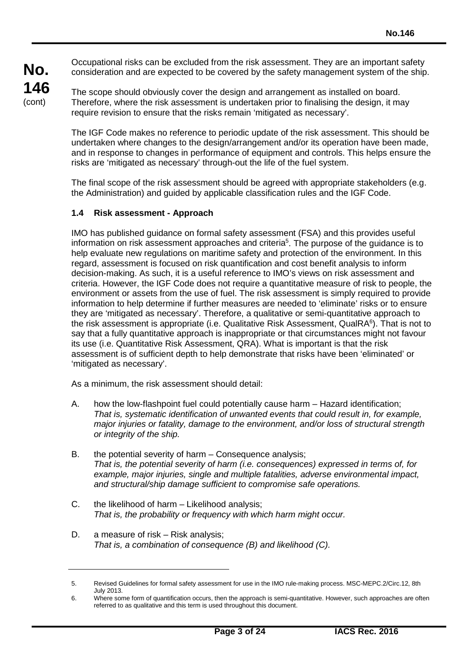Occupational risks can be excluded from the risk assessment. They are an important safety consideration and are expected to be covered by the safety management system of the ship.

The scope should obviously cover the design and arrangement as installed on board. Therefore, where the risk assessment is undertaken prior to finalising the design, it may require revision to ensure that the risks remain 'mitigated as necessary'.

The IGF Code makes no reference to periodic update of the risk assessment. This should be undertaken where changes to the design/arrangement and/or its operation have been made, and in response to changes in performance of equipment and controls. This helps ensure the risks are 'mitigated as necessary' through-out the life of the fuel system.

The final scope of the risk assessment should be agreed with appropriate stakeholders (e.g. the Administration) and guided by applicable classification rules and the IGF Code.

### **1.4 Risk assessment - Approach**

IMO has published guidance on formal safety assessment (FSA) and this provides useful information on risk assessment approaches and criteria<sup>5</sup>. The purpose of the guidance is to help evaluate new regulations on maritime safety and protection of the environment. In this regard, assessment is focused on risk quantification and cost benefit analysis to inform decision-making. As such, it is a useful reference to IMO's views on risk assessment and criteria. However, the IGF Code does not require a quantitative measure of risk to people, the environment or assets from the use of fuel. The risk assessment is simply required to provide information to help determine if further measures are needed to 'eliminate' risks or to ensure they are 'mitigated as necessary'. Therefore, a qualitative or semi-quantitative approach to the risk assessment is appropriate (i.e. Qualitative Risk Assessment, QualRA<sup>6</sup>). That is not to say that a fully quantitative approach is inappropriate or that circumstances might not favour its use (i.e. Quantitative Risk Assessment, QRA). What is important is that the risk assessment is of sufficient depth to help demonstrate that risks have been 'eliminated' or 'mitigated as necessary'.

As a minimum, the risk assessment should detail:

- A. how the low-flashpoint fuel could potentially cause harm Hazard identification; *That is, systematic identification of unwanted events that could result in, for example, major injuries or fatality, damage to the environment, and/or loss of structural strength or integrity of the ship.*
- B. the potential severity of harm Consequence analysis; *That is, the potential severity of harm (i.e. consequences) expressed in terms of, for example, major injuries, single and multiple fatalities, adverse environmental impact, and structural/ship damage sufficient to compromise safe operations.*
- C. the likelihood of harm Likelihood analysis; *That is, the probability or frequency with which harm might occur.*
- D. a measure of risk Risk analysis; *That is, a combination of consequence (B) and likelihood (C).*

<sup>5.</sup> Revised Guidelines for formal safety assessment for use in the IMO rule-making process. MSC-MEPC.2/Circ.12, 8th July 2013.

<sup>6.</sup> Where some form of quantification occurs, then the approach is semi-quantitative. However, such approaches are often referred to as qualitative and this term is used throughout this document.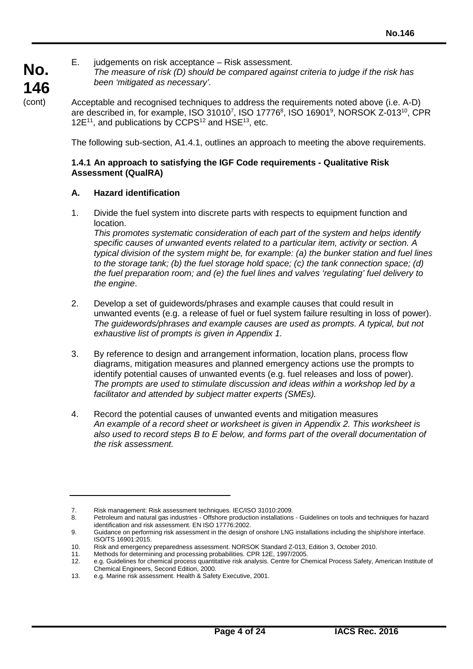E. judgements on risk acceptance – Risk assessment. *The measure of risk (D) should be compared against criteria to judge if the risk has been 'mitigated as necessary'.*

Acceptable and recognised techniques to address the requirements noted above (i.e. A-D) are described in, for example, ISO 31010<sup>7</sup>, ISO 17776<sup>8</sup>, ISO 16901<sup>9</sup>, NORSOK Z-013<sup>10</sup>, CPR 12 $E^{11}$ , and publications by CCPS<sup>12</sup> and HSE<sup>13</sup>, etc.

The following sub-section, A1.4.1, outlines an approach to meeting the above requirements.

### **1.4.1 An approach to satisfying the IGF Code requirements - Qualitative Risk Assessment (QualRA)**

### **A. Hazard identification**

1. Divide the fuel system into discrete parts with respects to equipment function and location.

*This promotes systematic consideration of each part of the system and helps identify specific causes of unwanted events related to a particular item, activity or section. A typical division of the system might be, for example: (a) the bunker station and fuel lines to the storage tank; (b) the fuel storage hold space; (c) the tank connection space; (d) the fuel preparation room; and (e) the fuel lines and valves 'regulating' fuel delivery to the engine*.

- 2. Develop a set of guidewords/phrases and example causes that could result in unwanted events (e.g. a release of fuel or fuel system failure resulting in loss of power). *The guidewords/phrases and example causes are used as prompts. A typical, but not exhaustive list of prompts is given in Appendix 1.*
- 3. By reference to design and arrangement information, location plans, process flow diagrams, mitigation measures and planned emergency actions use the prompts to identify potential causes of unwanted events (e.g. fuel releases and loss of power). *The prompts are used to stimulate discussion and ideas within a workshop led by a facilitator and attended by subject matter experts (SMEs).*
- 4. Record the potential causes of unwanted events and mitigation measures *An example of a record sheet or worksheet is given in Appendix 2. This worksheet is also used to record steps B to E below, and forms part of the overall documentation of the risk assessment.*

<sup>7.</sup> Risk management: Risk assessment techniques. IEC/ISO 31010:2009.<br>8. Petroleum and natural gas industries - Offshore production installations

<sup>8.</sup> Petroleum and natural gas industries - Offshore production installations - Guidelines on tools and techniques for hazard identification and risk assessment. EN ISO 17776:2002.

<sup>9.</sup> Guidance on performing risk assessment in the design of onshore LNG installations including the ship/shore interface. ISO/TS 16901:2015.

<sup>10.</sup> Risk and emergency preparedness assessment. NORSOK Standard Z-013, Edition 3, October 2010.<br>11. Methods for determining and processing probabilities. CPR 12E, 1997/2005.

<sup>11.</sup> Methods for determining and processing probabilities. CPR 12E, 1997/2005.

<sup>12.</sup> e.g. Guidelines for chemical process quantitative risk analysis. Centre for Chemical Process Safety, American Institute of Chemical Engineers, Second Edition, 2000.

<sup>13.</sup> e.g. Marine risk assessment. Health & Safety Executive, 2001.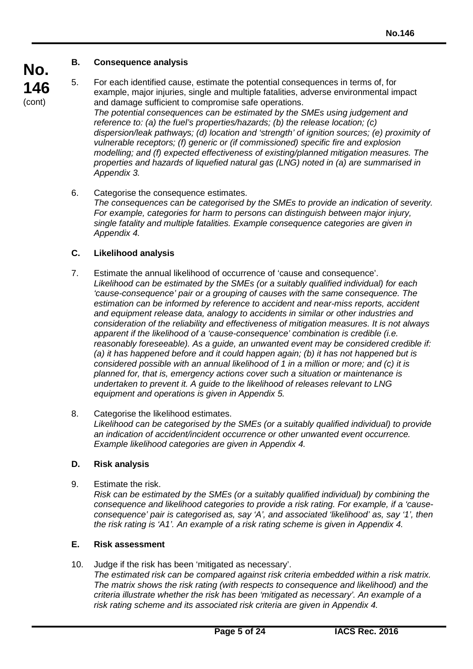# **B. Consequence analysis**

**No. 146** (cont)

5. For each identified cause, estimate the potential consequences in terms of, for example, major injuries, single and multiple fatalities, adverse environmental impact and damage sufficient to compromise safe operations. *The potential consequences can be estimated by the SMEs using judgement and reference to: (a) the fuel's properties/hazards; (b) the release location; (c) dispersion/leak pathways; (d) location and 'strength' of ignition sources; (e) proximity of vulnerable receptors; (f) generic or (if commissioned) specific fire and explosion modelling; and (f) expected effectiveness of existing/planned mitigation measures. The properties and hazards of liquefied natural gas (LNG) noted in (a) are summarised in Appendix 3.*

6. Categorise the consequence estimates.

*The consequences can be categorised by the SMEs to provide an indication of severity. For example, categories for harm to persons can distinguish between major injury, single fatality and multiple fatalities. Example consequence categories are given in Appendix 4.*

## **C. Likelihood analysis**

- 7. Estimate the annual likelihood of occurrence of 'cause and consequence'. *Likelihood can be estimated by the SMEs (or a suitably qualified individual) for each 'cause-consequence' pair or a grouping of causes with the same consequence. The estimation can be informed by reference to accident and near-miss reports, accident and equipment release data, analogy to accidents in similar or other industries and consideration of the reliability and effectiveness of mitigation measures. It is not always apparent if the likelihood of a 'cause-consequence' combination is credible (i.e. reasonably foreseeable). As a guide, an unwanted event may be considered credible if: (a) it has happened before and it could happen again; (b) it has not happened but is considered possible with an annual likelihood of 1 in a million or more; and (c) it is planned for, that is, emergency actions cover such a situation or maintenance is undertaken to prevent it. A guide to the likelihood of releases relevant to LNG equipment and operations is given in Appendix 5.*
- 8. Categorise the likelihood estimates. *Likelihood can be categorised by the SMEs (or a suitably qualified individual) to provide an indication of accident/incident occurrence or other unwanted event occurrence. Example likelihood categories are given in Appendix 4.*

## **D. Risk analysis**

9. Estimate the risk.

*Risk can be estimated by the SMEs (or a suitably qualified individual) by combining the consequence and likelihood categories to provide a risk rating. For example, if a 'causeconsequence' pair is categorised as, say 'A', and associated 'likelihood' as, say '1', then the risk rating is 'A1'. An example of a risk rating scheme is given in Appendix 4.*

## **E. Risk assessment**

10. Judge if the risk has been 'mitigated as necessary'.

*The estimated risk can be compared against risk criteria embedded within a risk matrix. The matrix shows the risk rating (with respects to consequence and likelihood) and the criteria illustrate whether the risk has been 'mitigated as necessary'. An example of a risk rating scheme and its associated risk criteria are given in Appendix 4.*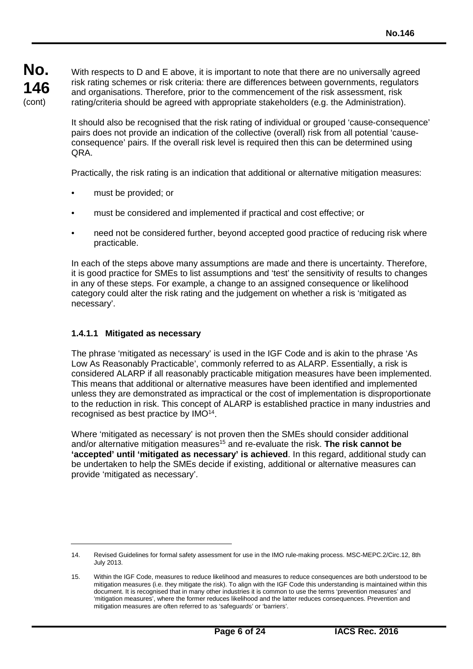With respects to D and E above, it is important to note that there are no universally agreed risk rating schemes or risk criteria: there are differences between governments, regulators and organisations. Therefore, prior to the commencement of the risk assessment, risk rating/criteria should be agreed with appropriate stakeholders (e.g. the Administration).

It should also be recognised that the risk rating of individual or grouped 'cause-consequence' pairs does not provide an indication of the collective (overall) risk from all potential 'causeconsequence' pairs. If the overall risk level is required then this can be determined using QRA.

Practically, the risk rating is an indication that additional or alternative mitigation measures:

- must be provided; or
- must be considered and implemented if practical and cost effective; or
- need not be considered further, beyond accepted good practice of reducing risk where practicable.

In each of the steps above many assumptions are made and there is uncertainty. Therefore, it is good practice for SMEs to list assumptions and 'test' the sensitivity of results to changes in any of these steps. For example, a change to an assigned consequence or likelihood category could alter the risk rating and the judgement on whether a risk is 'mitigated as necessary'.

### **1.4.1.1 Mitigated as necessary**

The phrase 'mitigated as necessary' is used in the IGF Code and is akin to the phrase 'As Low As Reasonably Practicable', commonly referred to as ALARP. Essentially, a risk is considered ALARP if all reasonably practicable mitigation measures have been implemented. This means that additional or alternative measures have been identified and implemented unless they are demonstrated as impractical or the cost of implementation is disproportionate to the reduction in risk. This concept of ALARP is established practice in many industries and recognised as best practice by IMO14.

Where 'mitigated as necessary' is not proven then the SMEs should consider additional and/or alternative mitigation measures<sup>15</sup> and re-evaluate the risk. **The risk cannot be 'accepted' until 'mitigated as necessary' is achieved**. In this regard, additional study can be undertaken to help the SMEs decide if existing, additional or alternative measures can provide 'mitigated as necessary'.

<sup>14.</sup> Revised Guidelines for formal safety assessment for use in the IMO rule-making process. MSC-MEPC.2/Circ.12, 8th July 2013.

<sup>15.</sup> Within the IGF Code, measures to reduce likelihood and measures to reduce consequences are both understood to be mitigation measures (i.e. they mitigate the risk). To align with the IGF Code this understanding is maintained within this document. It is recognised that in many other industries it is common to use the terms 'prevention measures' and 'mitigation measures', where the former reduces likelihood and the latter reduces consequences. Prevention and mitigation measures are often referred to as 'safeguards' or 'barriers'.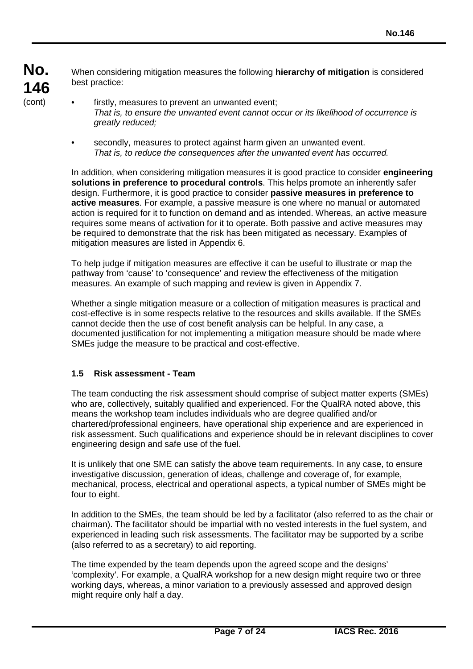When considering mitigation measures the following **hierarchy of mitigation** is considered best practice:

- firstly, measures to prevent an unwanted event; *That is, to ensure the unwanted event cannot occur or its likelihood of occurrence is greatly reduced;*
- secondly, measures to protect against harm given an unwanted event. *That is, to reduce the consequences after the unwanted event has occurred.*

In addition, when considering mitigation measures it is good practice to consider **engineering solutions in preference to procedural controls**. This helps promote an inherently safer design. Furthermore, it is good practice to consider **passive measures in preference to active measures**. For example, a passive measure is one where no manual or automated action is required for it to function on demand and as intended. Whereas, an active measure requires some means of activation for it to operate. Both passive and active measures may be required to demonstrate that the risk has been mitigated as necessary. Examples of mitigation measures are listed in Appendix 6.

To help judge if mitigation measures are effective it can be useful to illustrate or map the pathway from 'cause' to 'consequence' and review the effectiveness of the mitigation measures. An example of such mapping and review is given in Appendix 7.

Whether a single mitigation measure or a collection of mitigation measures is practical and cost-effective is in some respects relative to the resources and skills available. If the SMEs cannot decide then the use of cost benefit analysis can be helpful. In any case, a documented justification for not implementing a mitigation measure should be made where SMEs judge the measure to be practical and cost-effective.

## **1.5 Risk assessment - Team**

The team conducting the risk assessment should comprise of subject matter experts (SMEs) who are, collectively, suitably qualified and experienced. For the QualRA noted above, this means the workshop team includes individuals who are degree qualified and/or chartered/professional engineers, have operational ship experience and are experienced in risk assessment. Such qualifications and experience should be in relevant disciplines to cover engineering design and safe use of the fuel.

It is unlikely that one SME can satisfy the above team requirements. In any case, to ensure investigative discussion, generation of ideas, challenge and coverage of, for example, mechanical, process, electrical and operational aspects, a typical number of SMEs might be four to eight.

In addition to the SMEs, the team should be led by a facilitator (also referred to as the chair or chairman). The facilitator should be impartial with no vested interests in the fuel system, and experienced in leading such risk assessments. The facilitator may be supported by a scribe (also referred to as a secretary) to aid reporting.

The time expended by the team depends upon the agreed scope and the designs' 'complexity'. For example, a QualRA workshop for a new design might require two or three working days, whereas, a minor variation to a previously assessed and approved design might require only half a day.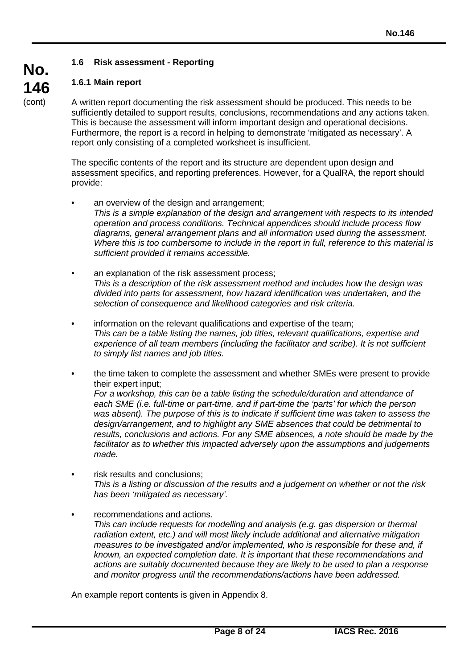## **1.6 Risk assessment - Reporting**

## **1.6.1 Main report**

A written report documenting the risk assessment should be produced. This needs to be sufficiently detailed to support results, conclusions, recommendations and any actions taken. This is because the assessment will inform important design and operational decisions. Furthermore, the report is a record in helping to demonstrate 'mitigated as necessary'. A report only consisting of a completed worksheet is insufficient.

The specific contents of the report and its structure are dependent upon design and assessment specifics, and reporting preferences. However, for a QualRA, the report should provide:

- an overview of the design and arrangement; *This is a simple explanation of the design and arrangement with respects to its intended operation and process conditions. Technical appendices should include process flow diagrams, general arrangement plans and all information used during the assessment. Where this is too cumbersome to include in the report in full, reference to this material is sufficient provided it remains accessible.*
- an explanation of the risk assessment process; *This is a description of the risk assessment method and includes how the design was divided into parts for assessment, how hazard identification was undertaken, and the selection of consequence and likelihood categories and risk criteria.*
- information on the relevant qualifications and expertise of the team; *This can be a table listing the names, job titles, relevant qualifications, expertise and*  experience of all team members (including the facilitator and scribe). It is not sufficient *to simply list names and job titles.*
- the time taken to complete the assessment and whether SMEs were present to provide their expert input; *For a workshop, this can be a table listing the schedule/duration and attendance of each SME (i.e. full-time or part-time, and if part-time the 'parts' for which the person was absent). The purpose of this is to indicate if sufficient time was taken to assess the design/arrangement, and to highlight any SME absences that could be detrimental to results, conclusions and actions. For any SME absences, a note should be made by the facilitator as to whether this impacted adversely upon the assumptions and judgements made.*
- risk results and conclusions: *This is a listing or discussion of the results and a judgement on whether or not the risk has been 'mitigated as necessary'.*
- recommendations and actions. *This can include requests for modelling and analysis (e.g. gas dispersion or thermal radiation extent, etc.) and will most likely include additional and alternative mitigation measures to be investigated and/or implemented, who is responsible for these and, if known, an expected completion date. It is important that these recommendations and actions are suitably documented because they are likely to be used to plan a response and monitor progress until the recommendations/actions have been addressed.*

An example report contents is given in Appendix 8.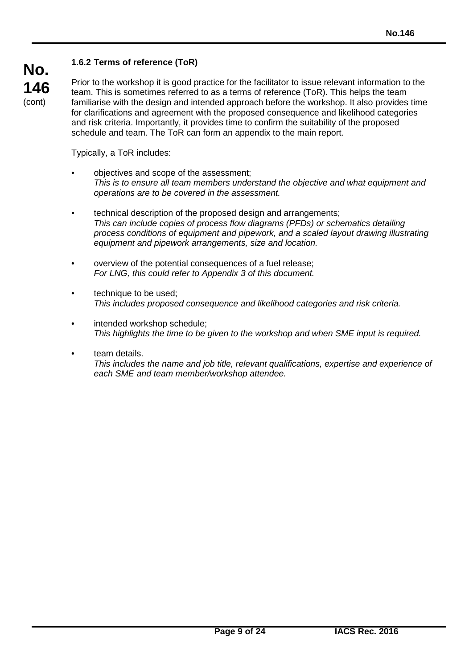# **1.6.2 Terms of reference (ToR)**

**No. 146** (cont)

Prior to the workshop it is good practice for the facilitator to issue relevant information to the team. This is sometimes referred to as a terms of reference (ToR). This helps the team familiarise with the design and intended approach before the workshop. It also provides time for clarifications and agreement with the proposed consequence and likelihood categories and risk criteria. Importantly, it provides time to confirm the suitability of the proposed schedule and team. The ToR can form an appendix to the main report.

Typically, a ToR includes:

- objectives and scope of the assessment; *This is to ensure all team members understand the objective and what equipment and operations are to be covered in the assessment.*
- technical description of the proposed design and arrangements; *This can include copies of process flow diagrams (PFDs) or schematics detailing process conditions of equipment and pipework, and a scaled layout drawing illustrating equipment and pipework arrangements, size and location.*
- overview of the potential consequences of a fuel release; *For LNG, this could refer to Appendix 3 of this document.*
- technique to be used; *This includes proposed consequence and likelihood categories and risk criteria.*
- intended workshop schedule; *This highlights the time to be given to the workshop and when SME input is required.*
- team details. *This includes the name and job title, relevant qualifications, expertise and experience of each SME and team member/workshop attendee.*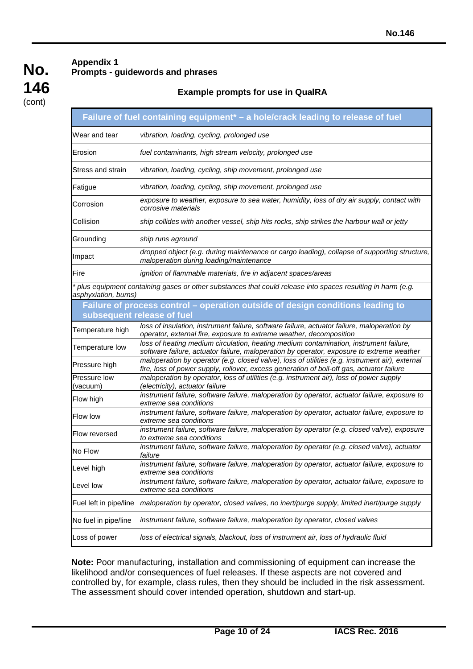# **Appendix 1 Prompts - guidewords and phrases**

# **Example prompts for use in QualRA**

|                          | Failure of fuel containing equipment <sup>*</sup> - a hole/crack leading to release of fuel                                                                                                  |
|--------------------------|----------------------------------------------------------------------------------------------------------------------------------------------------------------------------------------------|
| Wear and tear            | vibration, loading, cycling, prolonged use                                                                                                                                                   |
| Erosion                  | fuel contaminants, high stream velocity, prolonged use                                                                                                                                       |
| Stress and strain        | vibration, loading, cycling, ship movement, prolonged use                                                                                                                                    |
| Fatigue                  | vibration, loading, cycling, ship movement, prolonged use                                                                                                                                    |
| Corrosion                | exposure to weather, exposure to sea water, humidity, loss of dry air supply, contact with<br>corrosive materials                                                                            |
| Collision                | ship collides with another vessel, ship hits rocks, ship strikes the harbour wall or jetty                                                                                                   |
| Grounding                | ship runs aground                                                                                                                                                                            |
| Impact                   | dropped object (e.g. during maintenance or cargo loading), collapse of supporting structure,<br>maloperation during loading/maintenance                                                      |
| Fire                     | ignition of flammable materials, fire in adjacent spaces/areas                                                                                                                               |
| asphyxiation, burns)     | * plus equipment containing gases or other substances that could release into spaces resulting in harm (e.g.                                                                                 |
|                          | Failure of process control - operation outside of design conditions leading to<br>subsequent release of fuel                                                                                 |
| Temperature high         | loss of insulation, instrument failure, software failure, actuator failure, maloperation by<br>operator, external fire, exposure to extreme weather, decomposition                           |
| Temperature low          | loss of heating medium circulation, heating medium contamination, instrument failure,<br>software failure, actuator failure, maloperation by operator, exposure to extreme weather           |
| Pressure high            | maloperation by operator (e.g. closed valve), loss of utilities (e.g. instrument air), external<br>fire, loss of power supply, rollover, excess generation of boil-off gas, actuator failure |
| Pressure low<br>(vacuum) | maloperation by operator, loss of utilities (e.g. instrument air), loss of power supply<br>(electricity), actuator failure                                                                   |
| Flow high                | instrument failure, software failure, maloperation by operator, actuator failure, exposure to<br>extreme sea conditions                                                                      |
| Flow low                 | instrument failure, software failure, maloperation by operator, actuator failure, exposure to<br>extreme sea conditions                                                                      |
| Flow reversed            | instrument failure, software failure, maloperation by operator (e.g. closed valve), exposure<br>to extreme sea conditions                                                                    |
| No Flow                  | instrument failure, software failure, maloperation by operator (e.g. closed valve), actuator<br>failure                                                                                      |
| Level high               | instrument failure, software failure, maloperation by operator, actuator failure, exposure to<br>extreme sea conditions                                                                      |
| Level low                | instrument failure, software failure, maloperation by operator, actuator failure, exposure to<br>extreme sea conditions                                                                      |
| Fuel left in pipe/line   | maloperation by operator, closed valves, no inert/purge supply, limited inert/purge supply                                                                                                   |
| No fuel in pipe/line     | instrument failure, software failure, maloperation by operator, closed valves                                                                                                                |
| Loss of power            | loss of electrical signals, blackout, loss of instrument air, loss of hydraulic fluid                                                                                                        |

**Note:** Poor manufacturing, installation and commissioning of equipment can increase the likelihood and/or consequences of fuel releases. If these aspects are not covered and controlled by, for example, class rules, then they should be included in the risk assessment. The assessment should cover intended operation, shutdown and start-up.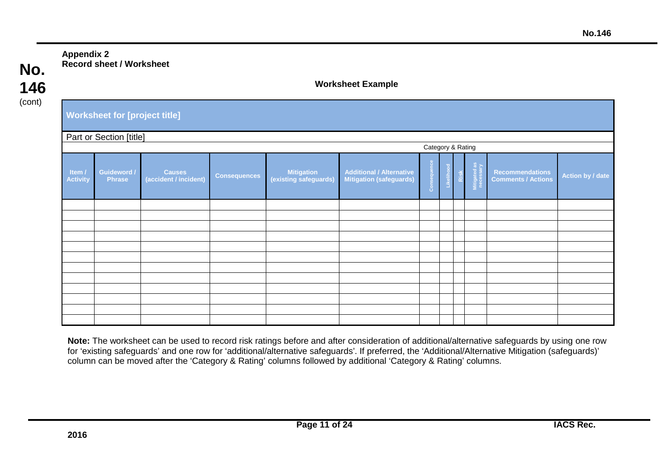# **Appendix 2 Record sheet / Worksheet**

**No. 146** (cont)

### **Worksheet Example**

| <b>Worksheet for [project title]</b> |  |
|--------------------------------------|--|
|--------------------------------------|--|

| Part or Section [title] |  |
|-------------------------|--|
|-------------------------|--|

|                           | <b>Lart of Occupit [uuc]</b><br>Category & Rating |                                        |                     |                                     |                                                             |                   |  |                           |                                                     |                  |
|---------------------------|---------------------------------------------------|----------------------------------------|---------------------|-------------------------------------|-------------------------------------------------------------|-------------------|--|---------------------------|-----------------------------------------------------|------------------|
| Item /<br><b>Activity</b> | <b>Guideword /</b><br>Phrase                      | <b>Causes</b><br>(accident / incident) | <b>Consequences</b> | Mitigation<br>(existing safeguards) | <b>Additional / Alternative<br/>Mitigation (safeguards)</b> | ence<br>킁<br>Cons |  | Mitigated as<br>necessary | <b>Recommendations</b><br><b>Comments / Actions</b> | Action by / date |
|                           |                                                   |                                        |                     |                                     |                                                             |                   |  |                           |                                                     |                  |
|                           |                                                   |                                        |                     |                                     |                                                             |                   |  |                           |                                                     |                  |
|                           |                                                   |                                        |                     |                                     |                                                             |                   |  |                           |                                                     |                  |
|                           |                                                   |                                        |                     |                                     |                                                             |                   |  |                           |                                                     |                  |
|                           |                                                   |                                        |                     |                                     |                                                             |                   |  |                           |                                                     |                  |
|                           |                                                   |                                        |                     |                                     |                                                             |                   |  |                           |                                                     |                  |
|                           |                                                   |                                        |                     |                                     |                                                             |                   |  |                           |                                                     |                  |
|                           |                                                   |                                        |                     |                                     |                                                             |                   |  |                           |                                                     |                  |
|                           |                                                   |                                        |                     |                                     |                                                             |                   |  |                           |                                                     |                  |
|                           |                                                   |                                        |                     |                                     |                                                             |                   |  |                           |                                                     |                  |
|                           |                                                   |                                        |                     |                                     |                                                             |                   |  |                           |                                                     |                  |
|                           |                                                   |                                        |                     |                                     |                                                             |                   |  |                           |                                                     |                  |

**Note:** The worksheet can be used to record risk ratings before and after consideration of additional/alternative safeguards by using one row for 'existing safeguards' and one row for 'additional/alternative safeguards'. If preferred, the 'Additional/Alternative Mitigation (safeguards)' column can be moved after the 'Category & Rating' columns followed by additional 'Category & Rating' columns.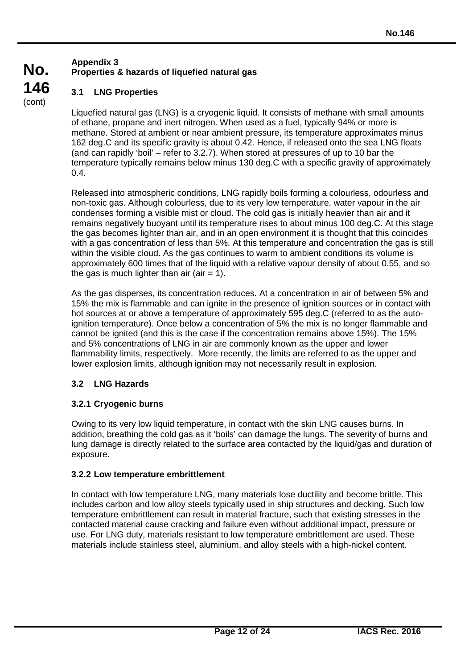# **Appendix 3 Properties & hazards of liquefied natural gas**

# **3.1 LNG Properties**

**No.**

**146** (cont)

> Liquefied natural gas (LNG) is a cryogenic liquid. It consists of methane with small amounts of ethane, propane and inert nitrogen. When used as a fuel, typically 94% or more is methane. Stored at ambient or near ambient pressure, its temperature approximates minus 162 deg.C and its specific gravity is about 0.42. Hence, if released onto the sea LNG floats (and can rapidly 'boil' – refer to 3.2.7). When stored at pressures of up to 10 bar the temperature typically remains below minus 130 deg.C with a specific gravity of approximately 0.4.

> Released into atmospheric conditions, LNG rapidly boils forming a colourless, odourless and non-toxic gas. Although colourless, due to its very low temperature, water vapour in the air condenses forming a visible mist or cloud. The cold gas is initially heavier than air and it remains negatively buoyant until its temperature rises to about minus 100 deg.C. At this stage the gas becomes lighter than air, and in an open environment it is thought that this coincides with a gas concentration of less than 5%. At this temperature and concentration the gas is still within the visible cloud. As the gas continues to warm to ambient conditions its volume is approximately 600 times that of the liquid with a relative vapour density of about 0.55, and so the gas is much lighter than air (air  $= 1$ ).

> As the gas disperses, its concentration reduces. At a concentration in air of between 5% and 15% the mix is flammable and can ignite in the presence of ignition sources or in contact with hot sources at or above a temperature of approximately 595 deg.C (referred to as the autoignition temperature). Once below a concentration of 5% the mix is no longer flammable and cannot be ignited (and this is the case if the concentration remains above 15%). The 15% and 5% concentrations of LNG in air are commonly known as the upper and lower flammability limits, respectively. More recently, the limits are referred to as the upper and lower explosion limits, although ignition may not necessarily result in explosion.

# **3.2 LNG Hazards**

## **3.2.1 Cryogenic burns**

Owing to its very low liquid temperature, in contact with the skin LNG causes burns. In addition, breathing the cold gas as it 'boils' can damage the lungs. The severity of burns and lung damage is directly related to the surface area contacted by the liquid/gas and duration of exposure.

## **3.2.2 Low temperature embrittlement**

In contact with low temperature LNG, many materials lose ductility and become brittle. This includes carbon and low alloy steels typically used in ship structures and decking. Such low temperature embrittlement can result in material fracture, such that existing stresses in the contacted material cause cracking and failure even without additional impact, pressure or use. For LNG duty, materials resistant to low temperature embrittlement are used. These materials include stainless steel, aluminium, and alloy steels with a high-nickel content.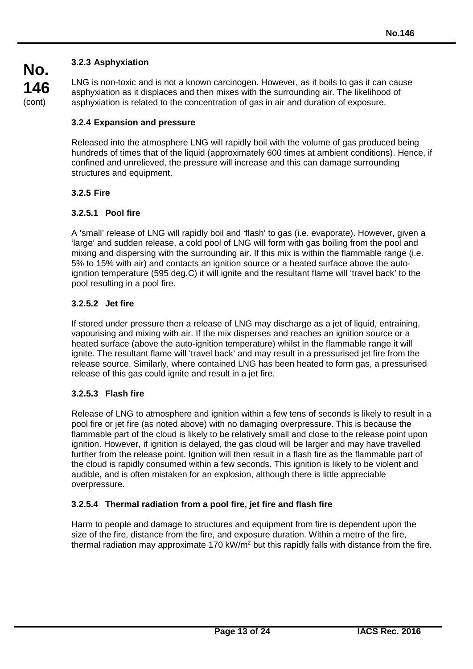## **3.2.3 Asphyxiation**

LNG is non-toxic and is not a known carcinogen. However, as it boils to gas it can cause asphyxiation as it displaces and then mixes with the surrounding air. The likelihood of asphyxiation is related to the concentration of gas in air and duration of exposure.

### **3.2.4 Expansion and pressure**

Released into the atmosphere LNG will rapidly boil with the volume of gas produced being hundreds of times that of the liquid (approximately 600 times at ambient conditions). Hence, if confined and unrelieved, the pressure will increase and this can damage surrounding structures and equipment.

### **3.2.5 Fire**

### **3.2.5.1 Pool fire**

A 'small' release of LNG will rapidly boil and 'flash' to gas (i.e. evaporate). However, given a 'large' and sudden release, a cold pool of LNG will form with gas boiling from the pool and mixing and dispersing with the surrounding air. If this mix is within the flammable range (i.e. 5% to 15% with air) and contacts an ignition source or a heated surface above the autoignition temperature (595 deg.C) it will ignite and the resultant flame will 'travel back' to the pool resulting in a pool fire.

#### **3.2.5.2 Jet fire**

If stored under pressure then a release of LNG may discharge as a jet of liquid, entraining, vapourising and mixing with air. If the mix disperses and reaches an ignition source or a heated surface (above the auto-ignition temperature) whilst in the flammable range it will ignite. The resultant flame will 'travel back' and may result in a pressurised jet fire from the release source. Similarly, where contained LNG has been heated to form gas, a pressurised release of this gas could ignite and result in a jet fire.

#### **3.2.5.3 Flash fire**

Release of LNG to atmosphere and ignition within a few tens of seconds is likely to result in a pool fire or jet fire (as noted above) with no damaging overpressure. This is because the flammable part of the cloud is likely to be relatively small and close to the release point upon ignition. However, if ignition is delayed, the gas cloud will be larger and may have travelled further from the release point. Ignition will then result in a flash fire as the flammable part of the cloud is rapidly consumed within a few seconds. This ignition is likely to be violent and audible, and is often mistaken for an explosion, although there is little appreciable overpressure.

## **3.2.5.4 Thermal radiation from a pool fire, jet fire and flash fire**

Harm to people and damage to structures and equipment from fire is dependent upon the size of the fire, distance from the fire, and exposure duration. Within a metre of the fire, thermal radiation may approximate 170 kW/m2 but this rapidly falls with distance from the fire.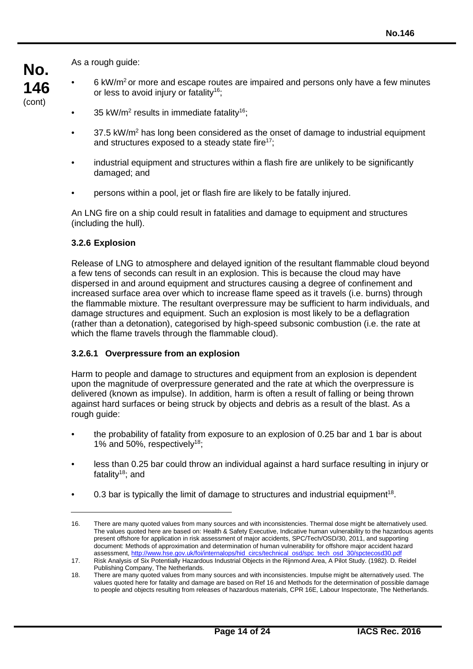As a rough guide:

- $6 \text{ kW/m}^2$  or more and escape routes are impaired and persons only have a few minutes or less to avoid injury or fatality<sup>16</sup>;
- 35 kW/m<sup>2</sup> results in immediate fatality<sup>16</sup>;
- $37.5 \text{ kW/m}^2$  has long been considered as the onset of damage to industrial equipment and structures exposed to a steady state fire<sup>17</sup>;
- industrial equipment and structures within a flash fire are unlikely to be significantly damaged; and
- persons within a pool, jet or flash fire are likely to be fatally injured.

An LNG fire on a ship could result in fatalities and damage to equipment and structures (including the hull).

### **3.2.6 Explosion**

Release of LNG to atmosphere and delayed ignition of the resultant flammable cloud beyond a few tens of seconds can result in an explosion. This is because the cloud may have dispersed in and around equipment and structures causing a degree of confinement and increased surface area over which to increase flame speed as it travels (i.e. burns) through the flammable mixture. The resultant overpressure may be sufficient to harm individuals, and damage structures and equipment. Such an explosion is most likely to be a deflagration (rather than a detonation), categorised by high-speed subsonic combustion (i.e. the rate at which the flame travels through the flammable cloud).

#### **3.2.6.1 Overpressure from an explosion**

Harm to people and damage to structures and equipment from an explosion is dependent upon the magnitude of overpressure generated and the rate at which the overpressure is delivered (known as impulse). In addition, harm is often a result of falling or being thrown against hard surfaces or being struck by objects and debris as a result of the blast. As a rough guide:

- the probability of fatality from exposure to an explosion of 0.25 bar and 1 bar is about 1% and 50%, respectively18;
- less than 0.25 bar could throw an individual against a hard surface resulting in injury or fatality $18$ ; and
- 0.3 bar is typically the limit of damage to structures and industrial equipment<sup>18</sup>.

<sup>16.</sup> There are many quoted values from many sources and with inconsistencies. Thermal dose might be alternatively used. The values quoted here are based on: Health & Safety Executive, Indicative human vulnerability to the hazardous agents present offshore for application in risk assessment of major accidents, SPC/Tech/OSD/30, 2011, and supporting document: Methods of approximation and determination of human vulnerability for offshore major accident hazard assessment, http://www.hse.gov.uk/foi/internalops/hid\_circs/technical\_osd/spc\_tech\_osd\_30/spcted

<sup>17.</sup> Risk Analysis of Six Potentially Hazardous Industrial Objects in the Rijnmond Area, A Pilot Study. (1982). D. Reidel Publishing Company, The Netherlands.

<sup>18.</sup> There are many quoted values from many sources and with inconsistencies. Impulse might be alternatively used. The values quoted here for fatality and damage are based on Ref 16 and Methods for the determination of possible damage to people and objects resulting from releases of hazardous materials, CPR 16E, Labour Inspectorate, The Netherlands.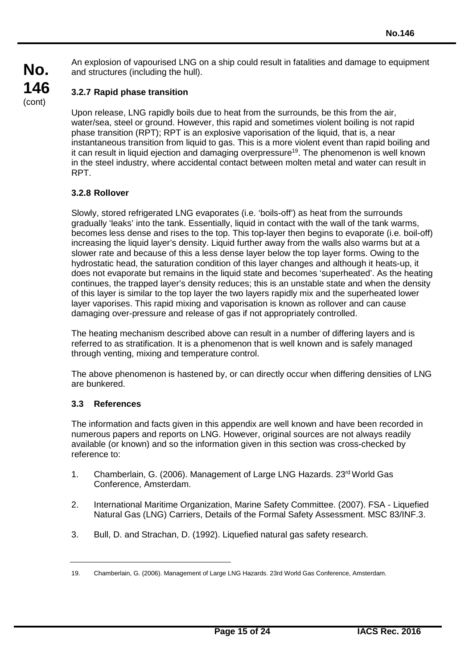**No. 146** An explosion of vapourised LNG on a ship could result in fatalities and damage to equipment and structures (including the hull).

# **3.2.7 Rapid phase transition**

(cont)

Upon release, LNG rapidly boils due to heat from the surrounds, be this from the air, water/sea, steel or ground. However, this rapid and sometimes violent boiling is not rapid phase transition (RPT); RPT is an explosive vaporisation of the liquid, that is, a near instantaneous transition from liquid to gas. This is a more violent event than rapid boiling and it can result in liquid ejection and damaging overpressure<sup>19</sup>. The phenomenon is well known in the steel industry, where accidental contact between molten metal and water can result in RPT.

# **3.2.8 Rollover**

Slowly, stored refrigerated LNG evaporates (i.e. 'boils-off') as heat from the surrounds gradually 'leaks' into the tank. Essentially, liquid in contact with the wall of the tank warms, becomes less dense and rises to the top. This top-layer then begins to evaporate (i.e. boil-off) increasing the liquid layer's density. Liquid further away from the walls also warms but at a slower rate and because of this a less dense layer below the top layer forms. Owing to the hydrostatic head, the saturation condition of this layer changes and although it heats-up, it does not evaporate but remains in the liquid state and becomes 'superheated'. As the heating continues, the trapped layer's density reduces; this is an unstable state and when the density of this layer is similar to the top layer the two layers rapidly mix and the superheated lower layer vaporises. This rapid mixing and vaporisation is known as rollover and can cause damaging over-pressure and release of gas if not appropriately controlled.

The heating mechanism described above can result in a number of differing layers and is referred to as stratification. It is a phenomenon that is well known and is safely managed through venting, mixing and temperature control.

The above phenomenon is hastened by, or can directly occur when differing densities of LNG are bunkered.

# **3.3 References**

The information and facts given in this appendix are well known and have been recorded in numerous papers and reports on LNG. However, original sources are not always readily available (or known) and so the information given in this section was cross-checked by reference to:

- 1. Chamberlain, G. (2006). Management of Large LNG Hazards. 23rd World Gas Conference, Amsterdam.
- 2. International Maritime Organization, Marine Safety Committee. (2007). FSA Liquefied Natural Gas (LNG) Carriers, Details of the Formal Safety Assessment. MSC 83/INF.3.
- 3. Bull, D. and Strachan, D. (1992). Liquefied natural gas safety research.

<sup>19.</sup> Chamberlain, G. (2006). Management of Large LNG Hazards. 23rd World Gas Conference, Amsterdam.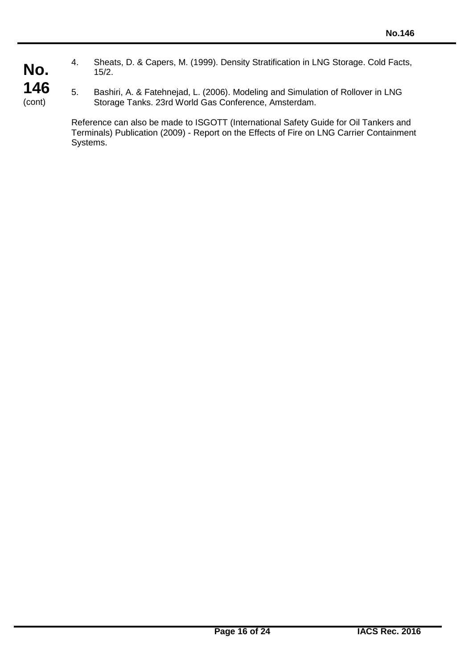4. Sheats, D. & Capers, M. (1999). Density Stratification in LNG Storage. Cold Facts, 15/2.

5. Bashiri, A. & Fatehnejad, L. (2006). Modeling and Simulation of Rollover in LNG Storage Tanks. 23rd World Gas Conference, Amsterdam.

Reference can also be made to ISGOTT (International Safety Guide for Oil Tankers and Terminals) Publication (2009) - Report on the Effects of Fire on LNG Carrier Containment Systems.

**No. 146** (cont)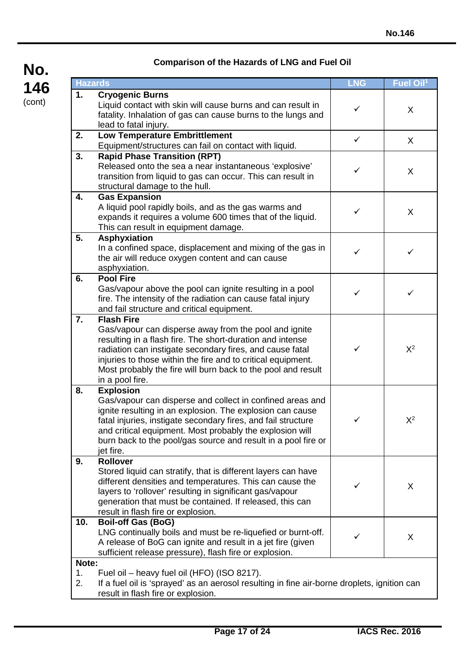| <b>Hazards</b>    |                                                                                                                                                                                                                                                                                                                                                        | <b>LNG</b>   | Fuel Oil <sup>1</sup> |
|-------------------|--------------------------------------------------------------------------------------------------------------------------------------------------------------------------------------------------------------------------------------------------------------------------------------------------------------------------------------------------------|--------------|-----------------------|
| 1.                | <b>Cryogenic Burns</b><br>Liquid contact with skin will cause burns and can result in<br>fatality. Inhalation of gas can cause burns to the lungs and<br>lead to fatal injury.                                                                                                                                                                         | ✓            | X                     |
| 2.                | <b>Low Temperature Embrittlement</b><br>Equipment/structures can fail on contact with liquid.                                                                                                                                                                                                                                                          | $\checkmark$ | X                     |
| 3.                | <b>Rapid Phase Transition (RPT)</b><br>Released onto the sea a near instantaneous 'explosive'<br>transition from liquid to gas can occur. This can result in<br>structural damage to the hull.                                                                                                                                                         | ✓            | X                     |
| 4.                | <b>Gas Expansion</b><br>A liquid pool rapidly boils, and as the gas warms and<br>expands it requires a volume 600 times that of the liquid.<br>This can result in equipment damage.                                                                                                                                                                    | ✓            | X                     |
| 5.                | <b>Asphyxiation</b><br>In a confined space, displacement and mixing of the gas in<br>the air will reduce oxygen content and can cause<br>asphyxiation.                                                                                                                                                                                                 | ✓            | ✓                     |
| 6.                | <b>Pool Fire</b><br>Gas/vapour above the pool can ignite resulting in a pool<br>fire. The intensity of the radiation can cause fatal injury<br>and fail structure and critical equipment.                                                                                                                                                              | ✓            | ✓                     |
| 7.                | <b>Flash Fire</b><br>Gas/vapour can disperse away from the pool and ignite<br>resulting in a flash fire. The short-duration and intense<br>radiation can instigate secondary fires, and cause fatal<br>injuries to those within the fire and to critical equipment.<br>Most probably the fire will burn back to the pool and result<br>in a pool fire. | ✓            | $X^2$                 |
| 8.                | <b>Explosion</b><br>Gas/vapour can disperse and collect in confined areas and<br>ignite resulting in an explosion. The explosion can cause<br>fatal injuries, instigate secondary fires, and fail structure<br>and critical equipment. Most probably the explosion will<br>burn back to the pool/gas source and result in a pool fire or<br>jet fire.  | ✓            | $X^2$                 |
| 9.                | <b>Rollover</b><br>Stored liquid can stratify, that is different layers can have<br>different densities and temperatures. This can cause the<br>layers to 'rollover' resulting in significant gas/vapour<br>generation that must be contained. If released, this can<br>result in flash fire or explosion.                                             | ✓            | X                     |
| 10.               | <b>Boil-off Gas (BoG)</b><br>LNG continually boils and must be re-liquefied or burnt-off.<br>A release of BoG can ignite and result in a jet fire (given<br>sufficient release pressure), flash fire or explosion.                                                                                                                                     |              | X                     |
| Note:<br>1.<br>2. | Fuel oil - heavy fuel oil (HFO) (ISO 8217).<br>If a fuel oil is 'sprayed' as an aerosol resulting in fine air-borne droplets, ignition can<br>result in flash fire or explosion.                                                                                                                                                                       |              |                       |

# **Comparison of the Hazards of LNG and Fuel Oil**

**No.**

**146** (cont)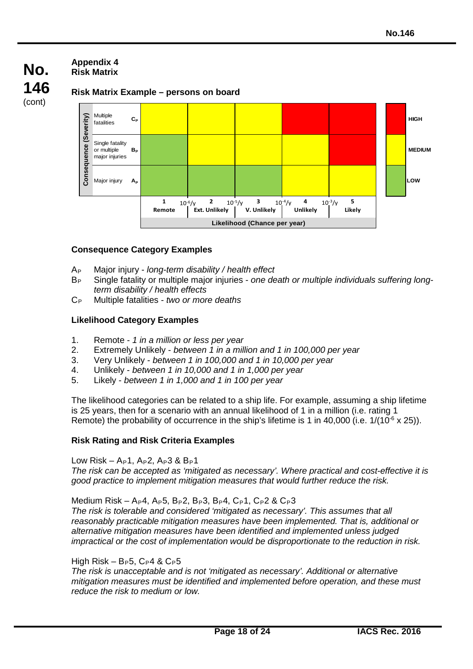#### **Appendix 4 Risk Matrix**

**No. 146** (cont)

## **Risk Matrix Example – persons on board**



## **Consequence Category Examples**

- AP Major injury *long-term disability / health effect*
- BP Single fatality or multiple major injuries *- one death or multiple individuals suffering longterm disability / health effects*
- CP Multiple fatalities *two or more deaths*

## **Likelihood Category Examples**

- 1. Remote *1 in a million or less per year*
- 2. Extremely Unlikely *between 1 in a million and 1 in 100,000 per year*
- 3. Very Unlikely *between 1 in 100,000 and 1 in 10,000 per year*
- 4. Unlikely *between 1 in 10,000 and 1 in 1,000 per year*
- 5. Likely *between 1 in 1,000 and 1 in 100 per year*

The likelihood categories can be related to a ship life. For example, assuming a ship lifetime is 25 years, then for a scenario with an annual likelihood of 1 in a million (i.e. rating 1 Remote) the probability of occurrence in the ship's lifetime is 1 in 40,000 (i.e.  $1/(10^{-6} \times 25)$ ).

## **Risk Rating and Risk Criteria Examples**

#### Low Risk –  $A_P1$ ,  $A_P2$ ,  $A_P3$  &  $B_P1$

*The risk can be accepted as 'mitigated as necessary'. Where practical and cost-effective it is good practice to implement mitigation measures that would further reduce the risk.*

Medium Risk – A<sub>P</sub>4, A<sub>P</sub>5, B<sub>P</sub>2, B<sub>P</sub>3, B<sub>P</sub>4, C<sub>P</sub>1, C<sub>P</sub>2 & C<sub>P</sub>3

*The risk is tolerable and considered 'mitigated as necessary'. This assumes that all reasonably practicable mitigation measures have been implemented. That is, additional or alternative mitigation measures have been identified and implemented unless judged impractical or the cost of implementation would be disproportionate to the reduction in risk.*

## High Risk –  $B_P5$ ,  $C_P4$  &  $C_P5$

*The risk is unacceptable and is not 'mitigated as necessary'. Additional or alternative mitigation measures must be identified and implemented before operation, and these must reduce the risk to medium or low.*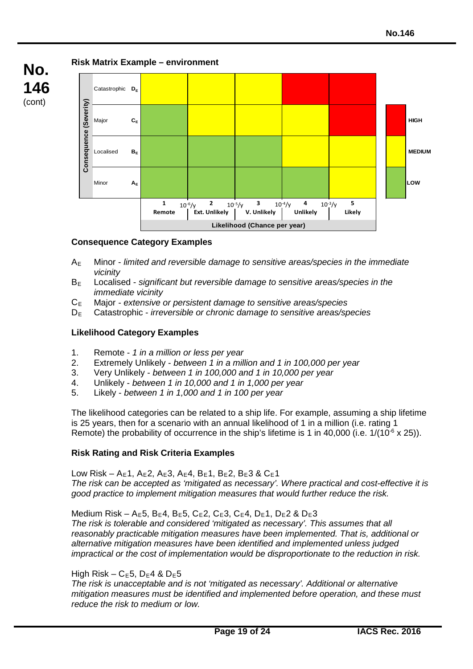

# **Risk Matrix Example – environment**



## **Consequence Category Examples**

- AE Minor *limited and reversible damage to sensitive areas/species in the immediate vicinity*
- BE Localised *significant but reversible damage to sensitive areas/species in the immediate vicinity*
- CE Major *- extensive or persistent damage to sensitive areas/species*
- DE Catastrophic *irreversible or chronic damage to sensitive areas/species*

## **Likelihood Category Examples**

- 1. Remote *1 in a million or less per year*
- 2. Extremely Unlikely *between 1 in a million and 1 in 100,000 per year*
- 3. Very Unlikely *between 1 in 100,000 and 1 in 10,000 per year*
- 4. Unlikely *between 1 in 10,000 and 1 in 1,000 per year*
- 5. Likely *between 1 in 1,000 and 1 in 100 per year*

The likelihood categories can be related to a ship life. For example, assuming a ship lifetime is 25 years, then for a scenario with an annual likelihood of 1 in a million (i.e. rating 1 Remote) the probability of occurrence in the ship's lifetime is 1 in 40,000 (i.e.  $1/(10^{-6} \times 25)$ ).

## **Risk Rating and Risk Criteria Examples**

Low Risk – A<sub>E</sub>1, A<sub>E</sub>2, A<sub>E</sub>3, A<sub>E</sub>4, B<sub>E</sub>1, B<sub>E</sub>2, B<sub>E</sub>3 & C<sub>E</sub>1 *The risk can be accepted as 'mitigated as necessary'. Where practical and cost-effective it is good practice to implement mitigation measures that would further reduce the risk.*

Medium Risk – A<sub>E</sub>5, B<sub>E</sub>4, B<sub>E</sub>5, C<sub>E</sub>2, C<sub>E</sub>3, C<sub>E</sub>4, D<sub>E</sub>1, D<sub>E</sub>2 & D<sub>E</sub>3 *The risk is tolerable and considered 'mitigated as necessary'. This assumes that all reasonably practicable mitigation measures have been implemented. That is, additional or alternative mitigation measures have been identified and implemented unless judged impractical or the cost of implementation would be disproportionate to the reduction in risk.*

## High Risk –  $C_E$ 5, D<sub>E</sub>4 & D<sub>E</sub>5

*The risk is unacceptable and is not 'mitigated as necessary'. Additional or alternative mitigation measures must be identified and implemented before operation, and these must reduce the risk to medium or low.*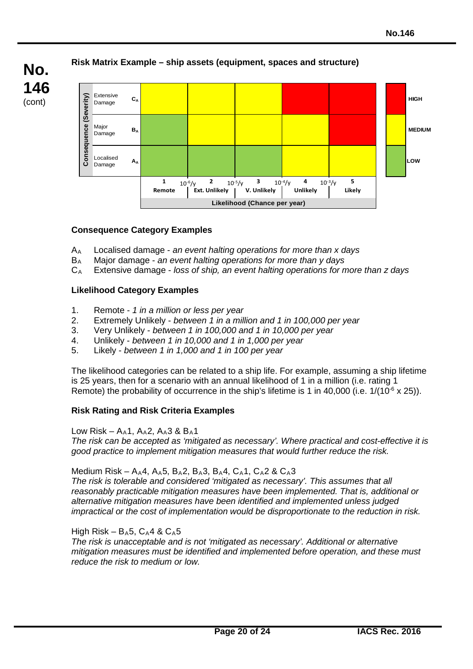## Extensive<br>Damage **Consequence (Severity)** Severity) Damage **C<sub>A</sub> HIGH CA HIGH AND RESIDENCE A** HIGH **CALL AND RESIDENCE A** HIGH AND RESIDENCE A LIGHT AND RESIDENCE A LIGHT AND RESIDENCE A LIGHT AND RESIDENCE A LIGHT AND RESIDENCE A LIGHT AND RESIDENCE A LIGHT AND RESIDENC Consequence ( Major<br>Damage major **B<sub>A</sub> MEDIUM**<br>Damage <sup>B</sup>A MEDIUM Localised Damage **AA LOW 1 10<sup>-6</sup>/v <b>2 10<sup>-5</sup>/v <b>3 10<sup>-4</sup>/v <b>4 10**<sup>-3</sup>/v **5**  $10^{-6}/y$  2  $10^{-5}/y$  3  $10^{-4}/y$  4  $10^{-3}/y$ **Remote Ext. Unlikely V. Unlikely Unlikely Likely Likelihood (Chance per year)**

# **Risk Matrix Example – ship assets (equipment, spaces and structure)**

# **Consequence Category Examples**

**No.**

**146** (cont)

- AA Localised damage *an event halting operations for more than x days*
- BA Major damage *an event halting operations for more than y days*
- CA Extensive damage *loss of ship, an event halting operations for more than z days*

# **Likelihood Category Examples**

- 1. Remote *1 in a million or less per year*
- 2. Extremely Unlikely *between 1 in a million and 1 in 100,000 per year*
- 3. Very Unlikely *between 1 in 100,000 and 1 in 10,000 per year*
- 4. Unlikely *between 1 in 10,000 and 1 in 1,000 per year*
- 5. Likely *between 1 in 1,000 and 1 in 100 per year*

The likelihood categories can be related to a ship life. For example, assuming a ship lifetime is 25 years, then for a scenario with an annual likelihood of 1 in a million (i.e. rating 1 Remote) the probability of occurrence in the ship's lifetime is 1 in 40,000 (i.e.  $1/(10^{-6} \times 25)$ ).

# **Risk Rating and Risk Criteria Examples**

Low Risk –  $A_4$ 1,  $A_4$ 2,  $A_4$ 3 &  $B_4$ 1

*The risk can be accepted as 'mitigated as necessary'. Where practical and cost-effective it is good practice to implement mitigation measures that would further reduce the risk.*

# Medium Risk – A<sub>A</sub>4, A<sub>A</sub>5, B<sub>A</sub>2, B<sub>A</sub>3, B<sub>A</sub>4, C<sub>A</sub>1, C<sub>A</sub>2 & C<sub>A</sub>3

*The risk is tolerable and considered 'mitigated as necessary'. This assumes that all reasonably practicable mitigation measures have been implemented. That is, additional or alternative mitigation measures have been identified and implemented unless judged impractical or the cost of implementation would be disproportionate to the reduction in risk.*

# High Risk –  $B_A5$ ,  $C_A4$  &  $C_A5$

*The risk is unacceptable and is not 'mitigated as necessary'. Additional or alternative mitigation measures must be identified and implemented before operation, and these must reduce the risk to medium or low.*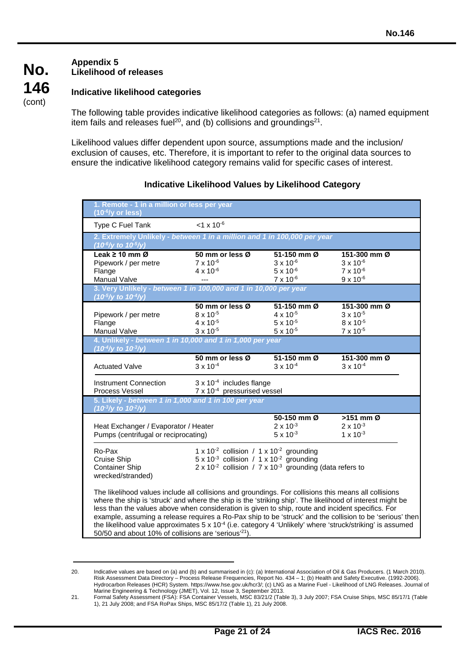#### **Appendix 5 Likelihood of releases**

**No.**

**146** (cont)

## **Indicative likelihood categories**

The following table provides indicative likelihood categories as follows: (a) named equipment item fails and releases fuel<sup>20</sup>, and (b) collisions and groundings<sup>21</sup>.

Likelihood values differ dependent upon source, assumptions made and the inclusion/ exclusion of causes, etc. Therefore, it is important to refer to the original data sources to ensure the indicative likelihood category remains valid for specific cases of interest.

| 1. Remote - 1 in a million or less per year<br>$(10^{-6}/y \text{ or less})$                                                                                                                                                                                                                                                                                                                                                                                                                                         |                                                                                                                                  |                                                                               |                                                                                                          |
|----------------------------------------------------------------------------------------------------------------------------------------------------------------------------------------------------------------------------------------------------------------------------------------------------------------------------------------------------------------------------------------------------------------------------------------------------------------------------------------------------------------------|----------------------------------------------------------------------------------------------------------------------------------|-------------------------------------------------------------------------------|----------------------------------------------------------------------------------------------------------|
| Type C Fuel Tank                                                                                                                                                                                                                                                                                                                                                                                                                                                                                                     | $< 1 \times 10^{-6}$                                                                                                             |                                                                               |                                                                                                          |
| 2. Extremely Unlikely - between 1 in a million and 1 in 100,000 per year<br>$(10^6$ /y to $10^5$ /y)                                                                                                                                                                                                                                                                                                                                                                                                                 |                                                                                                                                  |                                                                               |                                                                                                          |
| Leak $\geq 10$ mm $\varnothing$                                                                                                                                                                                                                                                                                                                                                                                                                                                                                      | 50 mm or less Ø                                                                                                                  | 51-150 mm Ø                                                                   | 151-300 mm Ø                                                                                             |
| Pipework / per metre                                                                                                                                                                                                                                                                                                                                                                                                                                                                                                 | $7 \times 10^{-6}$                                                                                                               | $3 \times 10^{-6}$                                                            | $3 \times 10^{-6}$                                                                                       |
| Flange                                                                                                                                                                                                                                                                                                                                                                                                                                                                                                               | $4 \times 10^{-6}$                                                                                                               | $5 \times 10^{-6}$                                                            | $7 \times 10^{-6}$                                                                                       |
| Manual Valve                                                                                                                                                                                                                                                                                                                                                                                                                                                                                                         |                                                                                                                                  | $7 \times 10^{-6}$                                                            | $9 \times 10^{-6}$                                                                                       |
| 3. Very Unlikely - between 1 in 100,000 and 1 in 10,000 per year<br>$(10^5)/y$ to $10^4/y$ )                                                                                                                                                                                                                                                                                                                                                                                                                         |                                                                                                                                  |                                                                               |                                                                                                          |
|                                                                                                                                                                                                                                                                                                                                                                                                                                                                                                                      | 50 mm or less Ø                                                                                                                  | 51-150 mm Ø                                                                   | 151-300 mm Ø                                                                                             |
| Pipework / per metre                                                                                                                                                                                                                                                                                                                                                                                                                                                                                                 | $8 \times 10^{-5}$                                                                                                               | $4 \times 10^{-5}$                                                            | $3 \times 10^{-5}$                                                                                       |
| Flange                                                                                                                                                                                                                                                                                                                                                                                                                                                                                                               | 4 x 10-5                                                                                                                         | $5 \times 10^{-5}$                                                            | 8 x 10-5                                                                                                 |
| Manual Valve                                                                                                                                                                                                                                                                                                                                                                                                                                                                                                         | $3 \times 10^{-5}$                                                                                                               | $5 \times 10^{-5}$                                                            | 7 x 10-5                                                                                                 |
| 4. Unlikely - between 1 in 10,000 and 1 in 1,000 per year<br>$(10^4$ /y to $10^3$ /y)                                                                                                                                                                                                                                                                                                                                                                                                                                |                                                                                                                                  |                                                                               |                                                                                                          |
|                                                                                                                                                                                                                                                                                                                                                                                                                                                                                                                      | 50 mm or less Ø                                                                                                                  | 51-150 mm Ø                                                                   | 151-300 mm Ø                                                                                             |
| <b>Actuated Valve</b>                                                                                                                                                                                                                                                                                                                                                                                                                                                                                                | $3 \times 10^{-4}$                                                                                                               | $3 \times 10^{-4}$                                                            | $3 \times 10^{-4}$                                                                                       |
| Instrument Connection<br>Process Vessel                                                                                                                                                                                                                                                                                                                                                                                                                                                                              | $3 \times 10^{-4}$ includes flange<br>7 x 10 <sup>-4</sup> pressurised vessel                                                    |                                                                               |                                                                                                          |
| 5. Likely - between 1 in 1,000 and 1 in 100 per year<br>$(10^3$ /y to $10^2$ /y)                                                                                                                                                                                                                                                                                                                                                                                                                                     |                                                                                                                                  |                                                                               |                                                                                                          |
|                                                                                                                                                                                                                                                                                                                                                                                                                                                                                                                      |                                                                                                                                  | 50-150 mm Ø                                                                   | $>151$ mm $\varnothing$                                                                                  |
| Heat Exchanger / Evaporator / Heater                                                                                                                                                                                                                                                                                                                                                                                                                                                                                 |                                                                                                                                  | $2 \times 10^{-3}$                                                            | $2 \times 10^{-3}$                                                                                       |
| Pumps (centrifugal or reciprocating)                                                                                                                                                                                                                                                                                                                                                                                                                                                                                 |                                                                                                                                  | $5 \times 10^{-3}$                                                            | $1 \times 10^{-3}$                                                                                       |
| Ro-Pax<br>Cruise Ship<br><b>Container Ship</b><br>wrecked/stranded)                                                                                                                                                                                                                                                                                                                                                                                                                                                  | 1 x 10 <sup>-2</sup> collision / 1 x 10 <sup>-2</sup> grounding<br>$5 \times 10^{-3}$ collision / 1 x 10 <sup>-2</sup> grounding | $2 \times 10^{-2}$ collision / 7 x 10 <sup>-3</sup> grounding (data refers to |                                                                                                          |
| The likelihood values include all collisions and groundings. For collisions this means all collisions<br>where the ship is 'struck' and where the ship is the 'striking ship'. The likelihood of interest might be<br>less than the values above when consideration is given to ship, route and incident specifics. For<br>the likelihood value approximates 5 x 10 <sup>-4</sup> (i.e. category 4 'Unlikely' where 'struck/striking' is assumed<br>50/50 and about 10% of collisions are 'serious' <sup>21</sup> ). |                                                                                                                                  |                                                                               | example, assuming a release requires a Ro-Pax ship to be 'struck' and the collision to be 'serious' then |

#### **Indicative Likelihood Values by Likelihood Category**

<sup>20.</sup> Indicative values are based on (a) and (b) and summarised in (c): (a) International Association of Oil & Gas Producers. (1 March 2010). Risk Assessment Data Directory – Process Release Frequencies, Report No. 434 – 1; (b) Health and Safety Executive. (1992-2006). Hydrocarbon Releases (HCR) System. https://www.hse.gov.uk/hcr3/; (c) LNG as a Marine Fuel - Likelihood of LNG Releases. Journal of Marine Engineering & Technology (JMET), Vol. 12, Issue 3, September 2013.

<sup>21.</sup> Formal Safety Assessment (FSA): FSA Container Vessels, MSC 83/21/2 (Table 3), 3 July 2007; FSA Cruise Ships, MSC 85/17/1 (Table 1), 21 July 2008; and FSA RoPax Ships, MSC 85/17/2 (Table 1), 21 July 2008.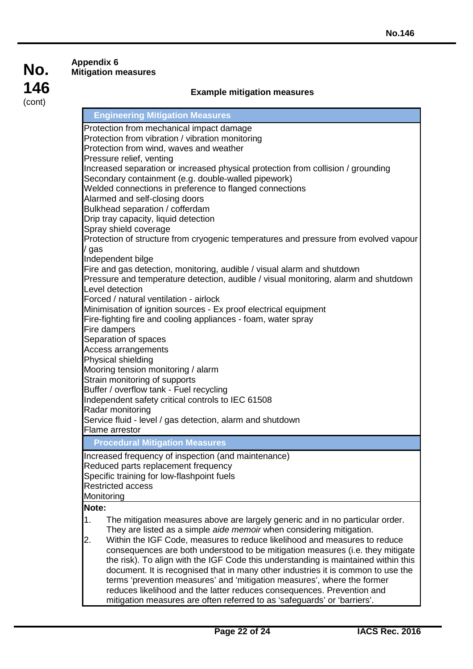#### **Appendix 6 Mitigation measures**

### **Example mitigation measures**

#### **Engineering Mitigation Measures**

Protection from mechanical impact damage Protection from vibration / vibration monitoring Protection from wind, waves and weather Pressure relief, venting Increased separation or increased physical protection from collision / grounding Secondary containment (e.g. double-walled pipework) Welded connections in preference to flanged connections Alarmed and self-closing doors Bulkhead separation / cofferdam Drip tray capacity, liquid detection Spray shield coverage Protection of structure from cryogenic temperatures and pressure from evolved vapour / gas Independent bilge Fire and gas detection, monitoring, audible / visual alarm and shutdown Pressure and temperature detection, audible / visual monitoring, alarm and shutdown Level detection Forced / natural ventilation - airlock Minimisation of ignition sources - Ex proof electrical equipment Fire-fighting fire and cooling appliances - foam, water spray Fire dampers Separation of spaces Access arrangements Physical shielding Mooring tension monitoring / alarm Strain monitoring of supports Buffer / overflow tank - Fuel recycling Independent safety critical controls to IEC 61508 Radar monitoring Service fluid - level / gas detection, alarm and shutdown Flame arrestor **Procedural Mitigation Measures** Increased frequency of inspection (and maintenance) Reduced parts replacement frequency Specific training for low-flashpoint fuels Restricted access **Monitoring Note:** 1. The mitigation measures above are largely generic and in no particular order. They are listed as a simple *aide memoir* when considering mitigation. 2. Within the IGF Code, measures to reduce likelihood and measures to reduce consequences are both understood to be mitigation measures (i.e. they mitigate the risk). To align with the IGF Code this understanding is maintained within this document. It is recognised that in many other industries it is common to use the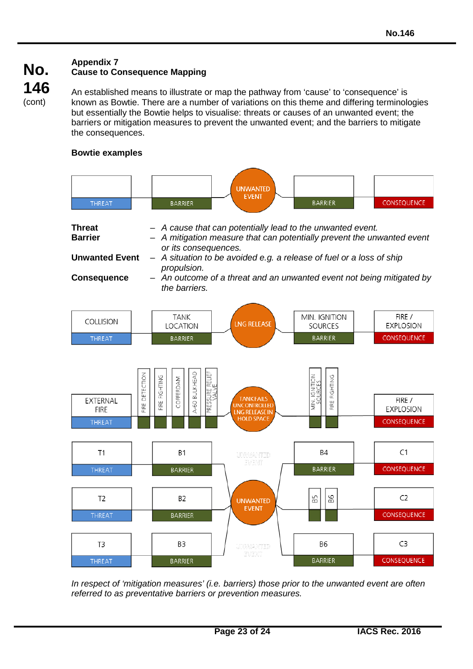### **Appendix 7 Cause to Consequence Mapping**

An established means to illustrate or map the pathway from 'cause' to 'consequence' is known as Bowtie. There are a number of variations on this theme and differing terminologies but essentially the Bowtie helps to visualise: threats or causes of an unwanted event; the barriers or mitigation measures to prevent the unwanted event; and the barriers to mitigate the consequences.

# **Bowtie examples**

| <b>THREAT</b>                                            |                   | <b>BARRIER</b>                                                          | <b>UNWANTED</b><br><b>EVENT</b>                                                                                                                                                                            | <b>BARRIER</b>                            | CONSEQUENCE                               |
|----------------------------------------------------------|-------------------|-------------------------------------------------------------------------|------------------------------------------------------------------------------------------------------------------------------------------------------------------------------------------------------------|-------------------------------------------|-------------------------------------------|
| <b>Threat</b><br><b>Barrier</b><br><b>Unwanted Event</b> |                   | or its consequences.                                                    | A cause that can potentially lead to the unwanted event.<br>- A mitigation measure that can potentially prevent the unwanted event<br>- A situation to be avoided e.g. a release of fuel or a loss of ship |                                           |                                           |
| <b>Consequence</b>                                       |                   | propulsion.<br>the barriers.                                            | - An outcome of a threat and an unwanted event not being mitigated by                                                                                                                                      |                                           |                                           |
| COLLISION                                                |                   | <b>TANK</b><br>LOCATION                                                 | <b>LNG RELEASE</b>                                                                                                                                                                                         | MIN. IGNITION<br><b>SOURCES</b>           | FIRE /<br><b>EXPLOSION</b>                |
| <b>THREAT</b>                                            |                   | <b>BARRIER</b>                                                          |                                                                                                                                                                                                            | <b>BARRIER</b>                            | CONSEQUENCE                               |
| EXTERNAL<br><b>FIRE</b><br><b>THREAT</b>                 | DETECTION<br>FIRE | PRESSURE RELIEF<br>VALVE<br>4-60 BULKHEAD<br>FIRE FIGHTING<br>COFFERDAM | <b>TANKFAILS</b><br><b>UNCONTROLLED</b><br><b>LNG RELEASE IN</b><br><b>HOLD SPACE</b>                                                                                                                      | FIRE FIGHTING<br>MIN. IGNITION<br>SOURCES | FIRE /<br><b>EXPLOSION</b><br>CONSEQUENCE |
| T1                                                       |                   | B1                                                                      | UNWANTED<br>EVENT                                                                                                                                                                                          | B4                                        | C1                                        |
| <b>THREAT</b>                                            |                   | <b>BARRIER</b>                                                          |                                                                                                                                                                                                            | <b>BARRIER</b>                            | CONSEQUENCE                               |
| T <sub>2</sub>                                           |                   | B <sub>2</sub>                                                          | <b>UNWANTED</b><br><b>EVENT</b>                                                                                                                                                                            | 86<br>B5                                  | C <sub>2</sub>                            |
| <b>THREAT</b>                                            |                   | <b>BARRIER</b>                                                          |                                                                                                                                                                                                            |                                           | CONSEQUENCE                               |
| T3                                                       |                   | B <sub>3</sub>                                                          | <b>UNMARTTED</b><br>EVENT                                                                                                                                                                                  | B6<br><b>BARRIER</b>                      | C <sub>3</sub><br>CONSEQUENCE             |
| <b>THREAT</b>                                            |                   | <b>BARRIER</b>                                                          |                                                                                                                                                                                                            |                                           |                                           |

*In respect of 'mitigation measures' (i.e. barriers) those prior to the unwanted event are often referred to as preventative barriers or prevention measures.*